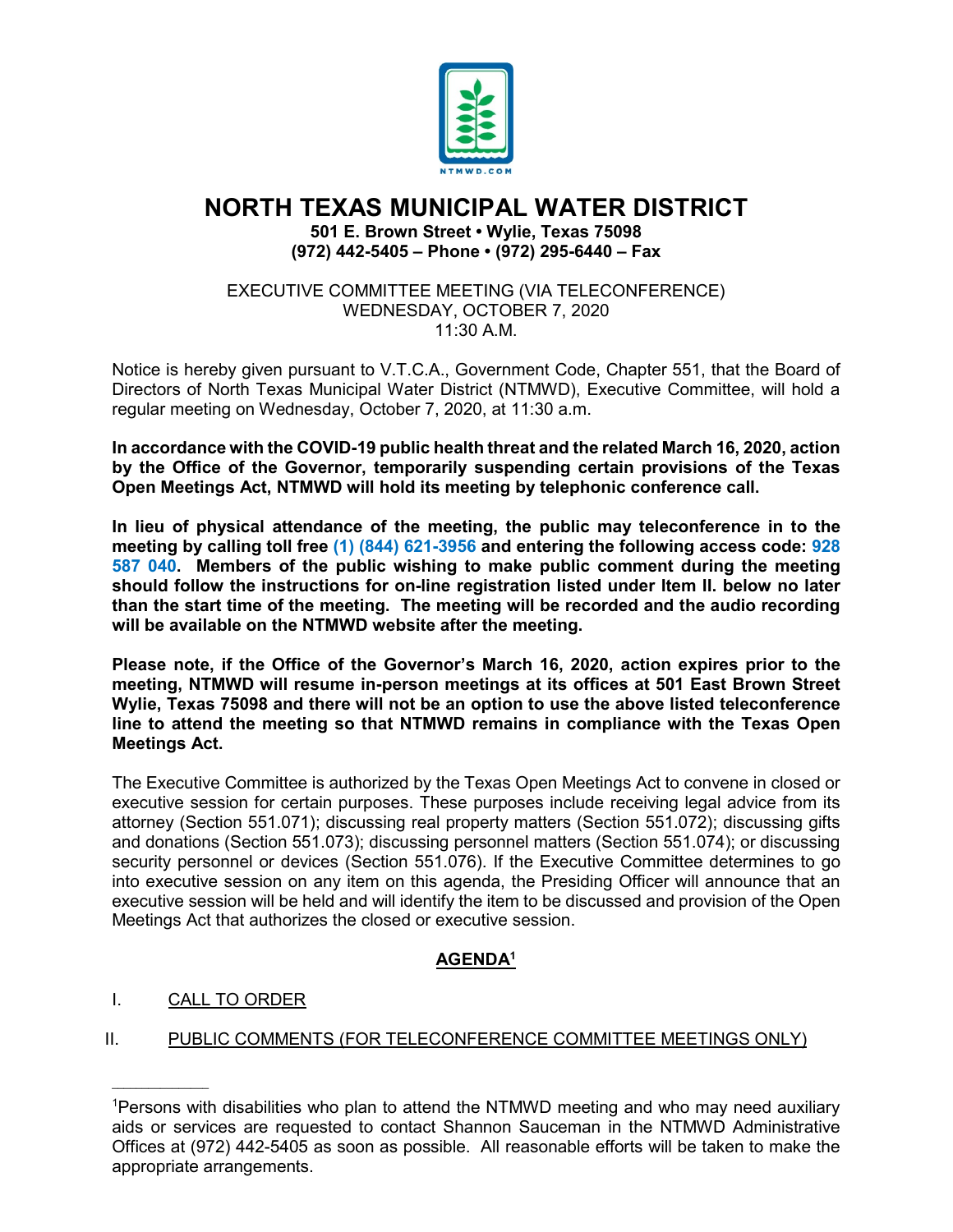

# **NORTH TEXAS MUNICIPAL WATER DISTRICT**

**501 E. Brown Street • Wylie, Texas 75098 (972) 442-5405 – Phone • (972) 295-6440 – Fax**

EXECUTIVE COMMITTEE MEETING (VIA TELECONFERENCE) WEDNESDAY, OCTOBER 7, 2020  $11:30$  A M

Notice is hereby given pursuant to V.T.C.A., Government Code, Chapter 551, that the Board of Directors of North Texas Municipal Water District (NTMWD), Executive Committee, will hold a regular meeting on Wednesday, October 7, 2020, at 11:30 a.m.

**In accordance with the COVID-19 public health threat and the related March 16, 2020, action by the Office of the Governor, temporarily suspending certain provisions of the Texas Open Meetings Act, NTMWD will hold its meeting by telephonic conference call.** 

**In lieu of physical attendance of the meeting, the public may teleconference in to the meeting by calling toll free (1) (844) 621-3956 and entering the following access code: 928 587 040. Members of the public wishing to make public comment during the meeting should follow the instructions for on-line registration listed under Item II. below no later than the start time of the meeting. The meeting will be recorded and the audio recording will be available on the NTMWD website after the meeting.**

**Please note, if the Office of the Governor's March 16, 2020, action expires prior to the meeting, NTMWD will resume in-person meetings at its offices at 501 East Brown Street Wylie, Texas 75098 and there will not be an option to use the above listed teleconference line to attend the meeting so that NTMWD remains in compliance with the Texas Open Meetings Act.** 

The Executive Committee is authorized by the Texas Open Meetings Act to convene in closed or executive session for certain purposes. These purposes include receiving legal advice from its attorney (Section 551.071); discussing real property matters (Section 551.072); discussing gifts and donations (Section 551.073); discussing personnel matters (Section 551.074); or discussing security personnel or devices (Section 551.076). If the Executive Committee determines to go into executive session on any item on this agenda, the Presiding Officer will announce that an executive session will be held and will identify the item to be discussed and provision of the Open Meetings Act that authorizes the closed or executive session.

# **AGENDA1**

## I. CALL TO ORDER

 $\overline{\phantom{a}}$  , where  $\overline{\phantom{a}}$ 

# II. PUBLIC COMMENTS (FOR TELECONFERENCE COMMITTEE MEETINGS ONLY)

<sup>1</sup> Persons with disabilities who plan to attend the NTMWD meeting and who may need auxiliary aids or services are requested to contact Shannon Sauceman in the NTMWD Administrative Offices at (972) 442-5405 as soon as possible. All reasonable efforts will be taken to make the appropriate arrangements.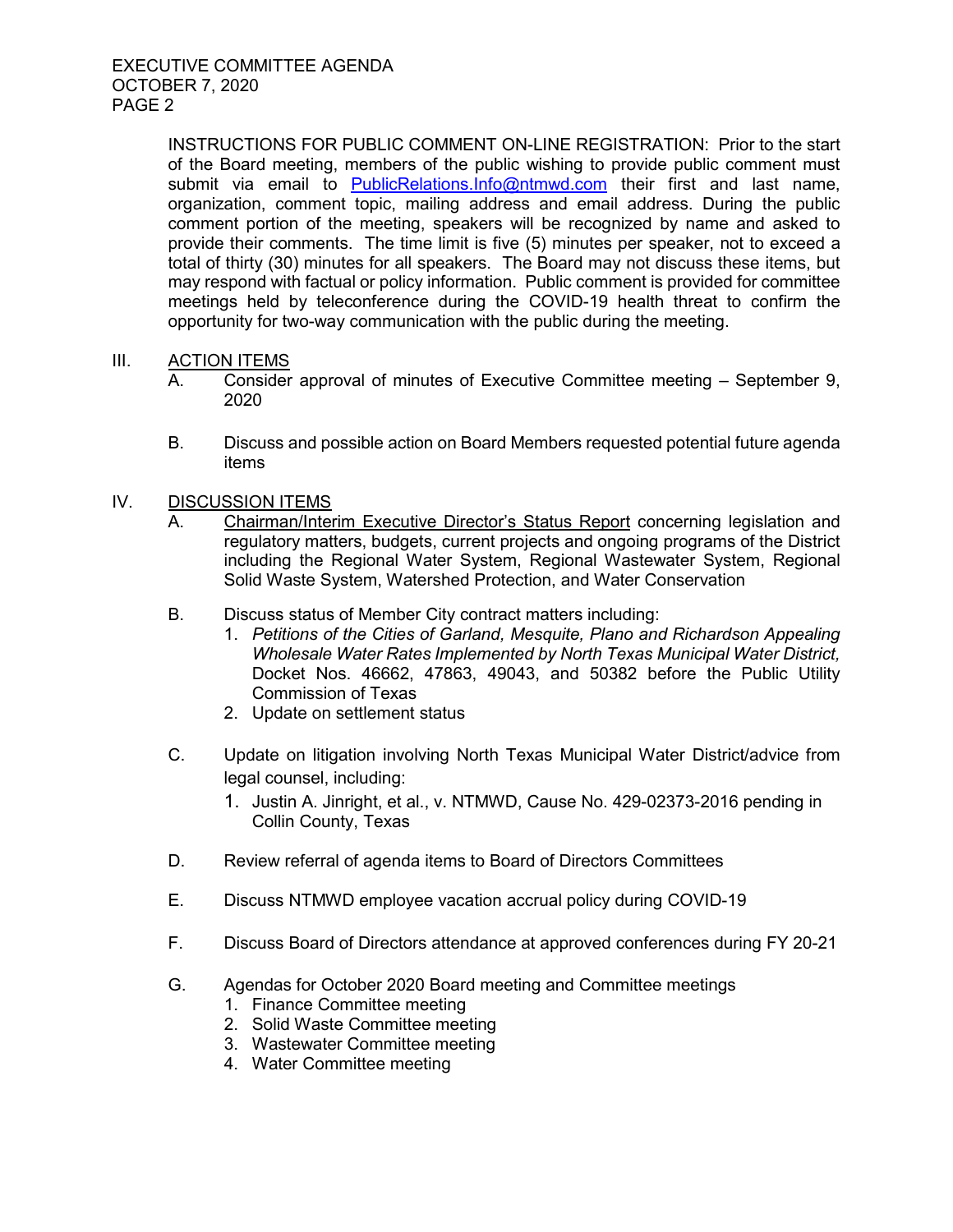INSTRUCTIONS FOR PUBLIC COMMENT ON-LINE REGISTRATION: Prior to the start of the Board meeting, members of the public wishing to provide public comment must submit via email to [PublicRelations.Info@ntmwd.com](mailto:PublicRelations.Info@ntmwd.com) their first and last name, organization, comment topic, mailing address and email address. During the public comment portion of the meeting, speakers will be recognized by name and asked to provide their comments. The time limit is five (5) minutes per speaker, not to exceed a total of thirty (30) minutes for all speakers. The Board may not discuss these items, but may respond with factual or policy information. Public comment is provided for committee meetings held by teleconference during the COVID-19 health threat to confirm the opportunity for two-way communication with the public during the meeting.

### III. ACTION ITEMS

- A. Consider approval of minutes of Executive Committee meeting September 9, 2020
- B. Discuss and possible action on Board Members requested potential future agenda items

### IV. DISCUSSION ITEMS

- A. Chairman/Interim Executive Director's Status Report concerning legislation and regulatory matters, budgets, current projects and ongoing programs of the District including the Regional Water System, Regional Wastewater System, Regional Solid Waste System, Watershed Protection, and Water Conservation
- B. Discuss status of Member City contract matters including:
	- 1. *Petitions of the Cities of Garland, Mesquite, Plano and Richardson Appealing Wholesale Water Rates Implemented by North Texas Municipal Water District,*  Docket Nos. 46662, 47863, 49043, and 50382 before the Public Utility Commission of Texas
	- 2. Update on settlement status
- C. Update on litigation involving North Texas Municipal Water District/advice from legal counsel, including:
	- 1. Justin A. Jinright, et al., v. NTMWD, Cause No. 429-02373-2016 pending in Collin County, Texas
- D. Review referral of agenda items to Board of Directors Committees
- E. Discuss NTMWD employee vacation accrual policy during COVID-19
- F. Discuss Board of Directors attendance at approved conferences during FY 20-21
- G. Agendas for October 2020 Board meeting and Committee meetings
	- 1. Finance Committee meeting
	- 2. Solid Waste Committee meeting
	- 3. Wastewater Committee meeting
	- 4. Water Committee meeting